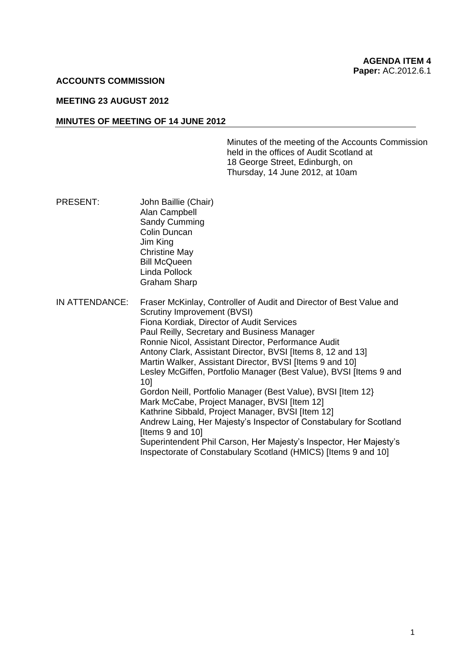#### **ACCOUNTS COMMISSION**

## **MEETING 23 AUGUST 2012**

#### **MINUTES OF MEETING OF 14 JUNE 2012**

Minutes of the meeting of the Accounts Commission held in the offices of Audit Scotland at 18 George Street, Edinburgh, on Thursday, 14 June 2012, at 10am

- PRESENT: John Baillie (Chair) Alan Campbell Sandy Cumming Colin Duncan Jim King Christine May Bill McQueen Linda Pollock Graham Sharp
- IN ATTENDANCE: Fraser McKinlay, Controller of Audit and Director of Best Value and Scrutiny Improvement (BVSI) Fiona Kordiak, Director of Audit Services Paul Reilly, Secretary and Business Manager Ronnie Nicol, Assistant Director, Performance Audit Antony Clark, Assistant Director, BVSI Iltems 8, 12 and 131 Martin Walker, Assistant Director, BVSI Iltems 9 and 101 Lesley McGiffen, Portfolio Manager (Best Value), BVSI [Items 9 and 10] Gordon Neill, Portfolio Manager (Best Value), BVSI [Item 12} Mark McCabe, Project Manager, BVSI [Item 12] Kathrine Sibbald, Project Manager, BVSI [Item 12] Andrew Laing, Her Majesty's Inspector of Constabulary for Scotland [Items 9 and 10] Superintendent Phil Carson, Her Majesty's Inspector, Her Majesty's Inspectorate of Constabulary Scotland (HMICS) [Items 9 and 10]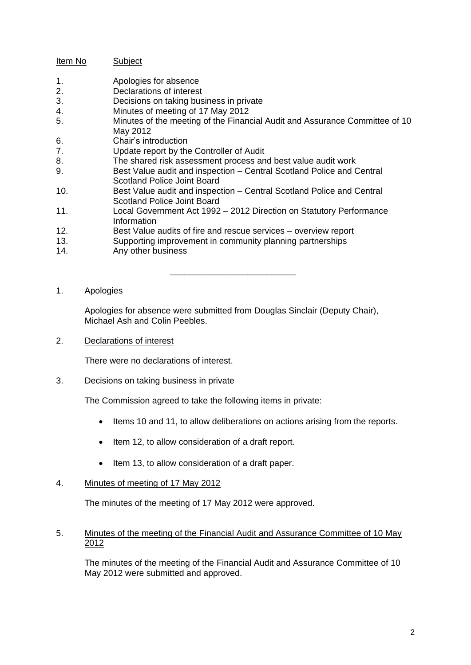# Item No Subject

- 1. Apologies for absence
- 2. Declarations of interest
- 3. Decisions on taking business in private
- 4. Minutes of meeting of 17 May 2012
- 5. Minutes of the meeting of the Financial Audit and Assurance Committee of 10 May 2012
- 6. Chair's introduction
- 7. Update report by the Controller of Audit
- 8. The shared risk assessment process and best value audit work
- 9. Best Value audit and inspection Central Scotland Police and Central Scotland Police Joint Board
- 10. Best Value audit and inspection Central Scotland Police and Central Scotland Police Joint Board
- 11. Local Government Act 1992 2012 Direction on Statutory Performance Information
- 12. Best Value audits of fire and rescue services overview report
- 13. Supporting improvement in community planning partnerships
- 14. Any other business

## 1. Apologies

Apologies for absence were submitted from Douglas Sinclair (Deputy Chair), Michael Ash and Colin Peebles.

\_\_\_\_\_\_\_\_\_\_\_\_\_\_\_\_\_\_\_\_\_\_\_\_\_\_

2. Declarations of interest

There were no declarations of interest.

3. Decisions on taking business in private

The Commission agreed to take the following items in private:

- $\bullet$  Items 10 and 11, to allow deliberations on actions arising from the reports.
- Item 12, to allow consideration of a draft report.
- Item 13, to allow consideration of a draft paper.

## 4. Minutes of meeting of 17 May 2012

The minutes of the meeting of 17 May 2012 were approved.

## 5. Minutes of the meeting of the Financial Audit and Assurance Committee of 10 May 2012

The minutes of the meeting of the Financial Audit and Assurance Committee of 10 May 2012 were submitted and approved.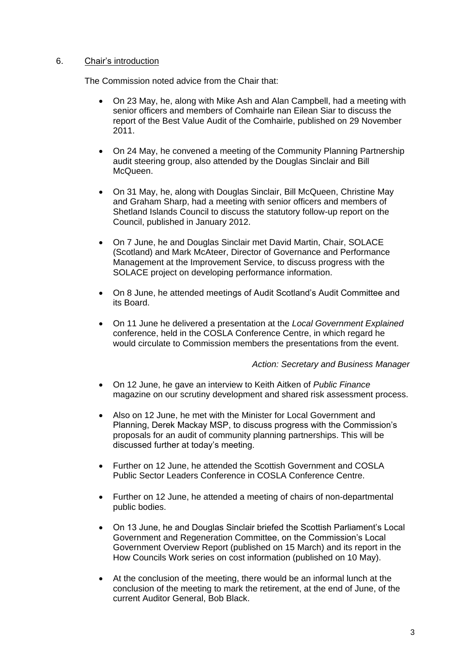## 6. Chair's introduction

The Commission noted advice from the Chair that:

- On 23 May, he, along with Mike Ash and Alan Campbell, had a meeting with senior officers and members of Comhairle nan Eilean Siar to discuss the report of the Best Value Audit of the Comhairle, published on 29 November 2011.
- On 24 May, he convened a meeting of the Community Planning Partnership audit steering group, also attended by the Douglas Sinclair and Bill McQueen.
- On 31 May, he, along with Douglas Sinclair, Bill McQueen, Christine May and Graham Sharp, had a meeting with senior officers and members of Shetland Islands Council to discuss the statutory follow-up report on the Council, published in January 2012.
- On 7 June, he and Douglas Sinclair met David Martin, Chair, SOLACE (Scotland) and Mark McAteer, Director of Governance and Performance Management at the Improvement Service, to discuss progress with the SOLACE project on developing performance information.
- On 8 June, he attended meetings of Audit Scotland's Audit Committee and its Board.
- On 11 June he delivered a presentation at the *Local Government Explained* conference, held in the COSLA Conference Centre, in which regard he would circulate to Commission members the presentations from the event.

## *Action: Secretary and Business Manager*

- On 12 June, he gave an interview to Keith Aitken of *Public Finance* magazine on our scrutiny development and shared risk assessment process.
- Also on 12 June, he met with the Minister for Local Government and Planning, Derek Mackay MSP, to discuss progress with the Commission's proposals for an audit of community planning partnerships. This will be discussed further at today's meeting.
- Further on 12 June, he attended the Scottish Government and COSLA Public Sector Leaders Conference in COSLA Conference Centre.
- Further on 12 June, he attended a meeting of chairs of non-departmental public bodies.
- On 13 June, he and Douglas Sinclair briefed the Scottish Parliament's Local Government and Regeneration Committee, on the Commission's Local Government Overview Report (published on 15 March) and its report in the How Councils Work series on cost information (published on 10 May).
- At the conclusion of the meeting, there would be an informal lunch at the conclusion of the meeting to mark the retirement, at the end of June, of the current Auditor General, Bob Black.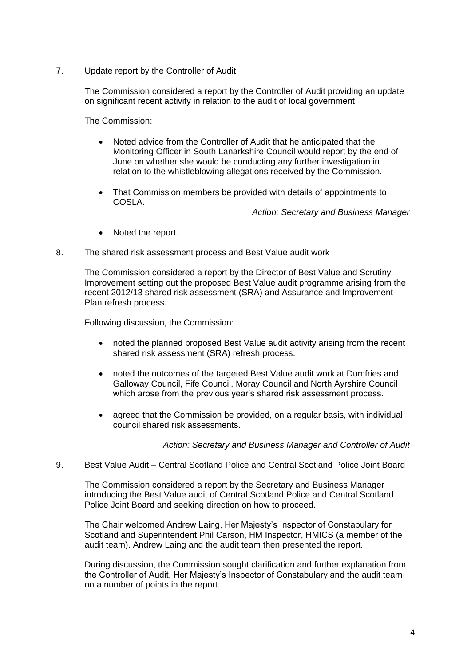## 7. Update report by the Controller of Audit

The Commission considered a report by the Controller of Audit providing an update on significant recent activity in relation to the audit of local government.

The Commission:

- Noted advice from the Controller of Audit that he anticipated that the Monitoring Officer in South Lanarkshire Council would report by the end of June on whether she would be conducting any further investigation in relation to the whistleblowing allegations received by the Commission.
- That Commission members be provided with details of appointments to COSLA.

*Action: Secretary and Business Manager*

• Noted the report.

## 8. The shared risk assessment process and Best Value audit work

The Commission considered a report by the Director of Best Value and Scrutiny Improvement setting out the proposed Best Value audit programme arising from the recent 2012/13 shared risk assessment (SRA) and Assurance and Improvement Plan refresh process.

Following discussion, the Commission:

- noted the planned proposed Best Value audit activity arising from the recent shared risk assessment (SRA) refresh process.
- noted the outcomes of the targeted Best Value audit work at Dumfries and Galloway Council, Fife Council, Moray Council and North Ayrshire Council which arose from the previous year's shared risk assessment process.
- agreed that the Commission be provided, on a regular basis, with individual council shared risk assessments.

*Action: Secretary and Business Manager and Controller of Audit*

## 9. Best Value Audit – Central Scotland Police and Central Scotland Police Joint Board

The Commission considered a report by the Secretary and Business Manager introducing the Best Value audit of Central Scotland Police and Central Scotland Police Joint Board and seeking direction on how to proceed.

The Chair welcomed Andrew Laing, Her Majesty's Inspector of Constabulary for Scotland and Superintendent Phil Carson, HM Inspector, HMICS (a member of the audit team). Andrew Laing and the audit team then presented the report.

During discussion, the Commission sought clarification and further explanation from the Controller of Audit, Her Majesty's Inspector of Constabulary and the audit team on a number of points in the report.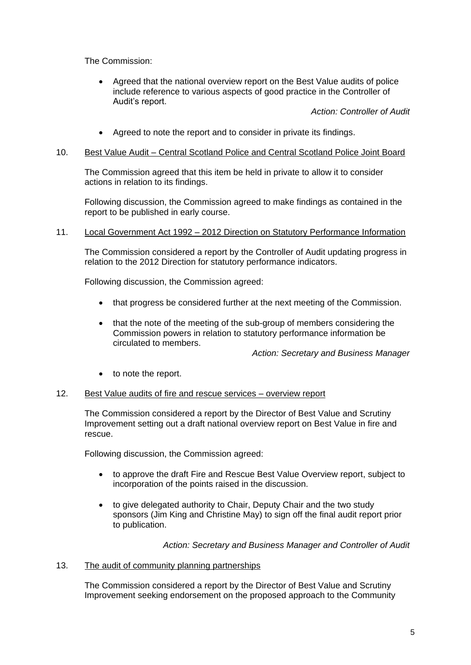The Commission:

 Agreed that the national overview report on the Best Value audits of police include reference to various aspects of good practice in the Controller of Audit's report.

*Action: Controller of Audit*

- Agreed to note the report and to consider in private its findings.
- 10. Best Value Audit Central Scotland Police and Central Scotland Police Joint Board

The Commission agreed that this item be held in private to allow it to consider actions in relation to its findings.

Following discussion, the Commission agreed to make findings as contained in the report to be published in early course.

11. Local Government Act 1992 – 2012 Direction on Statutory Performance Information

The Commission considered a report by the Controller of Audit updating progress in relation to the 2012 Direction for statutory performance indicators.

Following discussion, the Commission agreed:

- that progress be considered further at the next meeting of the Commission.
- that the note of the meeting of the sub-group of members considering the Commission powers in relation to statutory performance information be circulated to members.

*Action: Secretary and Business Manager*

• to note the report.

#### 12. Best Value audits of fire and rescue services – overview report

The Commission considered a report by the Director of Best Value and Scrutiny Improvement setting out a draft national overview report on Best Value in fire and rescue.

Following discussion, the Commission agreed:

- to approve the draft Fire and Rescue Best Value Overview report, subject to incorporation of the points raised in the discussion.
- to give delegated authority to Chair, Deputy Chair and the two study sponsors (Jim King and Christine May) to sign off the final audit report prior to publication.

*Action: Secretary and Business Manager and Controller of Audit*

#### 13. The audit of community planning partnerships

The Commission considered a report by the Director of Best Value and Scrutiny Improvement seeking endorsement on the proposed approach to the Community